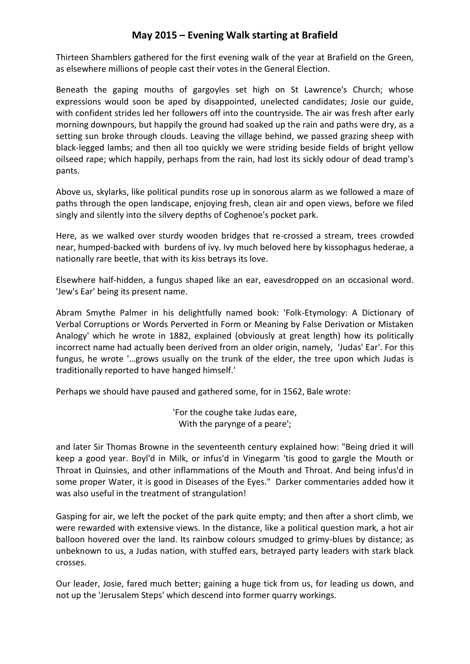## **May 2015 – Evening Walk starting at Brafield**

Thirteen Shamblers gathered for the first evening walk of the year at Brafield on the Green, as elsewhere millions of people cast their votes in the General Election.

Beneath the gaping mouths of gargoyles set high on St Lawrence's Church; whose expressions would soon be aped by disappointed, unelected candidates; Josie our guide, with confident strides led her followers off into the countryside. The air was fresh after early morning downpours, but happily the ground had soaked up the rain and paths were dry, as a setting sun broke through clouds. Leaving the village behind, we passed grazing sheep with black-legged lambs; and then all too quickly we were striding beside fields of bright yellow oilseed rape; which happily, perhaps from the rain, had lost its sickly odour of dead tramp's pants.

Above us, skylarks, like political pundits rose up in sonorous alarm as we followed a maze of paths through the open landscape, enjoying fresh, clean air and open views, before we filed singly and silently into the silvery depths of Coghenoe's pocket park.

Here, as we walked over sturdy wooden bridges that re-crossed a stream, trees crowded near, humped-backed with burdens of ivy. Ivy much beloved here by kissophagus hederae, a nationally rare beetle, that with its kiss betrays its love.

Elsewhere half-hidden, a fungus shaped like an ear, eavesdropped on an occasional word. 'Jew's Ear' being its present name.

Abram Smythe Palmer in his delightfully named book: 'Folk-Etymology: A Dictionary of Verbal Corruptions or Words Perverted in Form or Meaning by False Derivation or Mistaken Analogy' which he wrote in 1882, explained (obviously at great length) how its politically incorrect name had actually been derived from an older origin, namely, 'Judas' Ear'. For this fungus, he wrote '…grows usually on the trunk of the elder, the tree upon which Judas is traditionally reported to have hanged himself.'

Perhaps we should have paused and gathered some, for in 1562, Bale wrote:

'For the coughe take Judas eare, With the parynge of a peare';

and later Sir Thomas Browne in the seventeenth century explained how: "Being dried it will keep a good year. Boyl'd in Milk, or infus'd in Vinegarm 'tis good to gargle the Mouth or Throat in Quinsies, and other inflammations of the Mouth and Throat. And being infus'd in some proper Water, it is good in Diseases of the Eyes." Darker commentaries added how it was also useful in the treatment of strangulation!

Gasping for air, we left the pocket of the park quite empty; and then after a short climb, we were rewarded with extensive views. In the distance, like a political question mark, a hot air balloon hovered over the land. Its rainbow colours smudged to grimy-blues by distance; as unbeknown to us, a Judas nation, with stuffed ears, betrayed party leaders with stark black crosses.

Our leader, Josie, fared much better; gaining a huge tick from us, for leading us down, and not up the 'Jerusalem Steps' which descend into former quarry workings.